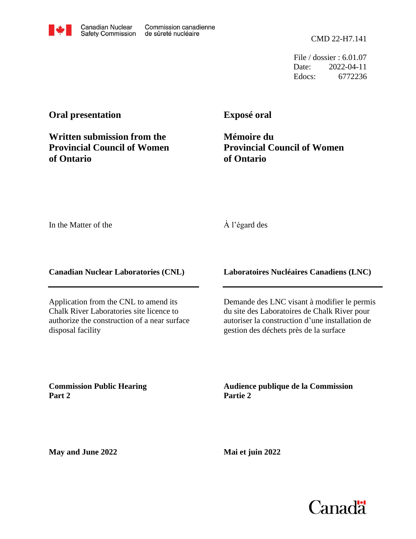CMD 22-H7.141

File / dossier : 6.01.07 Date: 2022-04-11 Edocs: 6772236

### **Oral presentation**

## **Written submission from the Provincial Council of Women of Ontario**

**Exposé oral**

**Mémoire du Provincial Council of Women of Ontario**

In the Matter of the

#### À l'égard des

**Canadian Nuclear Laboratories (CNL)**

Application from the CNL to amend its Chalk River Laboratories site licence to authorize the construction of a near surface disposal facility

**Laboratoires Nucléaires Canadiens (LNC)**

Demande des LNC visant à modifier le permis du site des Laboratoires de Chalk River pour autoriser la construction d'une installation de gestion des déchets près de la surface

**Commission Public Hearing Part 2**

**Audience publique de la Commission Partie 2**

**May and June 2022**

**Mai et juin 2022**





Commission canadienne

de sûreté nucléaire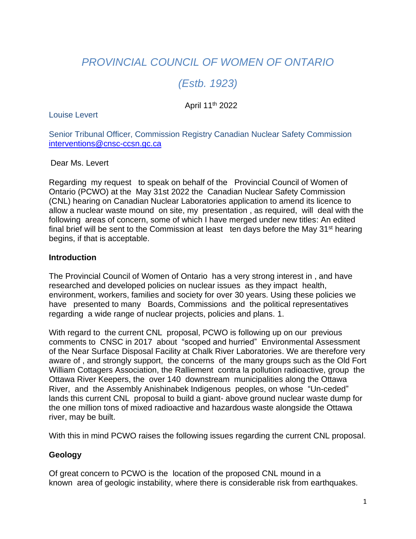# *PROVINCIAL COUNCIL OF WOMEN OF ONTARIO*

# *(Estb. 1923)*

#### April 11th 2022

Louise Levert

Senior Tribunal Officer, Commission Registry Canadian Nuclear Safety Commission [interventions@cnsc-ccsn.gc.ca](mailto:interventions@cnsc-ccsn.gc.ca)

Dear Ms. Levert

Regarding my request to speak on behalf of the Provincial Council of Women of Ontario (PCWO) at the May 31st 2022 the Canadian Nuclear Safety Commission (CNL) hearing on Canadian Nuclear Laboratories application to amend its licence to allow a nuclear waste mound on site, my presentation , as required, will deal with the following areas of concern, some of which I have merged under new titles: An edited final brief will be sent to the Commission at least ten days before the May  $31<sup>st</sup>$  hearing begins, if that is acceptable.

#### **Introduction**

The Provincial Council of Women of Ontario has a very strong interest in , and have researched and developed policies on nuclear issues as they impact health, environment, workers, families and society for over 30 years. Using these policies we have presented to many Boards, Commissions and the political representatives regarding a wide range of nuclear projects, policies and plans. 1.

With regard to the current CNL proposal, PCWO is following up on our previous comments to CNSC in 2017 about "scoped and hurried" Environmental Assessment of the Near Surface Disposal Facility at Chalk River Laboratories. We are therefore very aware of , and strongly support, the concerns of the many groups such as the Old Fort William Cottagers Association, the Ralliement contra la pollution radioactive, group the Ottawa River Keepers, the over 140 downstream municipalities along the Ottawa River, and the Assembly Anishinabek Indigenous peoples, on whose "Un-ceded" lands this current CNL proposal to build a giant- above ground nuclear waste dump for the one million tons of mixed radioactive and hazardous waste alongside the Ottawa river, may be built.

With this in mind PCWO raises the following issues regarding the current CNL proposal.

#### **Geology**

Of great concern to PCWO is the location of the proposed CNL mound in a known area of geologic instability, where there is considerable risk from earthquakes.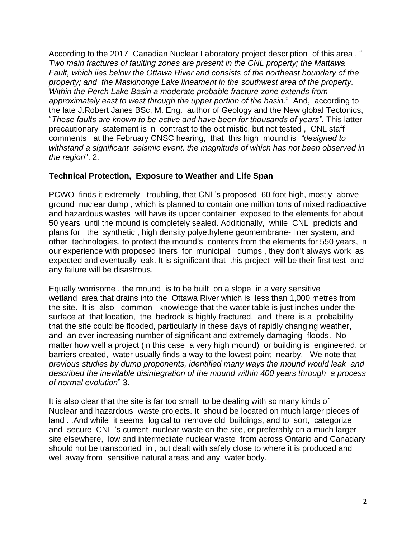According to the 2017 Canadian Nuclear Laboratory project description of this area , " *Two main fractures of faulting zones are present in the CNL property; the Mattawa Fault, which lies below the Ottawa River and consists of the northeast boundary of the property; and the Maskinonge Lake lineament in the southwest area of the property. Within the Perch Lake Basin a moderate probable fracture zone extends from approximately east to west through the upper portion of the basin.*" And, according to the late J.Robert Janes BSc, M. Eng. author of Geology and the New global Tectonics, "*These faults are known to be active and have been for thousands of years".* This latter precautionary statement is in contrast to the optimistic, but not tested , CNL staff comments at the February CNSC hearing, that this high mound is *"designed to withstand a significant seismic event, the magnitude of which has not been observed in the region*". 2.

#### **Technical Protection, Exposure to Weather and Life Span**

PCWO finds it extremely troubling, that CNL's proposed 60 foot high, mostly aboveground nuclear dump , which is planned to contain one million tons of mixed radioactive and hazardous wastes will have its upper container exposed to the elements for about 50 years until the mound is completely sealed. Additionally, while CNL predicts and plans for the synthetic , high density polyethylene geomembrane- liner system, and other technologies, to protect the mound's contents from the elements for 550 years, in our experience with proposed liners for municipal dumps , they don't always work as expected and eventually leak. It is significant that this project will be their first test and any failure will be disastrous.

Equally worrisome , the mound is to be built on a slope in a very sensitive wetland area that drains into the Ottawa River which is less than 1,000 metres from the site. It is also common knowledge that the water table is just inches under the surface at that location, the bedrock is highly fractured, and there is a probability that the site could be flooded, particularly in these days of rapidly changing weather, and an ever increasing number of significant and extremely damaging floods. No matter how well a project (in this case a very high mound) or building is engineered, or barriers created, water usually finds a way to the lowest point nearby. We note that *previous studies by dump proponents, identified many ways the mound would leak and described the inevitable disintegration of the mound within 400 years through a process of normal evolution*" 3.

It is also clear that the site is far too small to be dealing with so many kinds of Nuclear and hazardous waste projects. It should be located on much larger pieces of land . .And while it seems logical to remove old buildings, and to sort, categorize and secure CNL 's current nuclear waste on the site, or preferably on a much larger site elsewhere, low and intermediate nuclear waste from across Ontario and Canadary should not be transported in , but dealt with safely close to where it is produced and well away from sensitive natural areas and any water body.